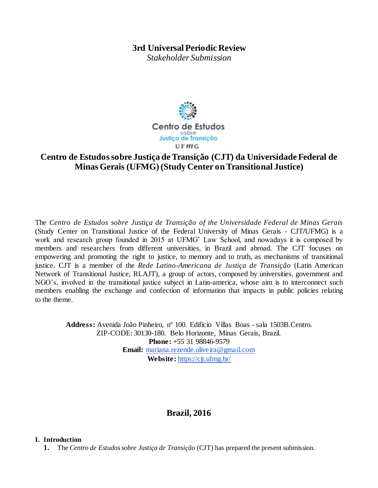## **3rd Universal Periodic Review**

*Stakeholder Submission* 



## **Centro de Estudos sobre Justiça de Transição (CJT) da Universidade Federal de Minas Gerais (UFMG) (Study Center on Transitional Justice)**

The *Centro de Estudos sobre Justiça de Transição of the Universidade Federal de Minas Gerais* (Study Center on Transitional Justice of the Federal University of Minas Gerais - CJT**/**UFMG) is a work and research group founded in 2015 at UFMG' Law School, and nowadays it is composed by members and researchers from different universities, in Brazil and abroad. The CJT focuses on empowering and promoting the right to justice, to memory and to truth, as mechanisms of transitional justice. CJT is a member of the *Rede Latino-Americana de Justiça de Transição* (Latin American Network of Transitional Justice, RLAJT), a group of actors, composed by universities, government and NGO's, involved in the transitional justice subject in Latin-america, whose aim is to interconnect such members enabling the exchange and confection of information that impacts in public policies relating to the theme.

**Address:** Avenida João Pinheiro, nº 100. Edifício Villas Boas - sala 1503B.Centro. ZIP-CODE: 30130-180. Belo Horizonte, Minas Gerais, Brazil. **Phone:** +55 31 98846-9579 **Email:** mariana.rezende.oliveira@gmail.com **Website:** https://cjt.ufmg.br/

# **Brazil, 2016**

### **I. Introduction**

**1.** The *Centro de Estudos sobre Justiça de Transição* (CJT) has prepared the present submission.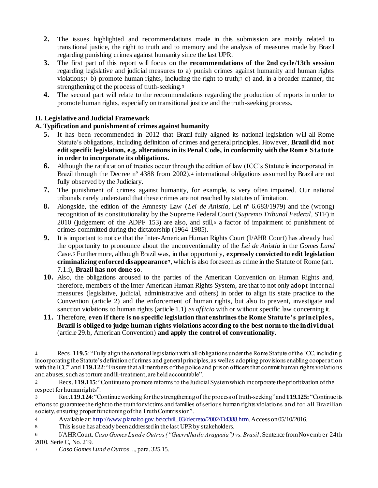- **2.** The issues highlighted and recommendations made in this submission are mainly related to transitional justice, the right to truth and to memory and the analysis of measures made by Brazil regarding punishing crimes against humanity since the last UPR.
- **3.** The first part of this report will focus on the **recommendations of the 2nd cycle/13th session**  regarding legislative and judicial measures to a) punish crimes against humanity and human rights violations;<sup>1</sup> b) promote human rights, including the right to truth;<sup>2</sup> c) and, in a broader manner, the strengthening of the process of truth-seeking.<sup>3</sup>
- **4.** The second part will relate to the recommendations regarding the production of reports in order to promote human rights, especially on transitional justice and the truth-seeking process.

## **II. Legislative and Judicial Framework**

## **A. Typification and punishment of crimes against humanity**

- **5.** It has been recommended in 2012 that Brazil fully aligned its national legislation will all Rome Statute's obligations, including definition of crimes and general principles. However, **Brazil did not edit specific legislation, e.g. alterations in its Penal Code, in conformity with the Rome Statute in order to incorporate its obligations.**
- **6.** Although the ratification of treaties occur through the edition of law (ICC's Statute is incorporated in Brazil through the Decree n° 4388 from 2002), 4 international obligations assumed by Brazil are not fully observed by the Judiciary.
- **7.** The punishment of crimes against humanity, for example, is very often impaired. Our national tribunals rarely understand that these crimes are not reached by statutes of limitation.
- **8.** Alongside, the edition of the Amnesty Law (*Lei de Anistia*, Lei nº 6.683/1979) and the (wrong) recognition of its constitutionality by the Supreme Federal Court (*Supremo Tribunal Federal*, STF) in 2010 (judgement of the ADPF 153) are also, and still, 5 a factor of impairment of punishment of crimes committed during the dictatorship (1964-1985).
- **9.** It is important to notice that the Inter-American Human Rights Court (I/AHR Court) has already had the opportunity to pronounce about the unconventionality of the *Lei de Anistia* in the *Gomes Lund*  Case.<sup>6</sup> Furthermore, although Brazil was, in that opportunity, **expressly convicted to edit legislation criminalizing enforced disappearance <sup>7</sup>**, which is also foreseen as crime in the Statute of Rome (art. 7.1.i), **Brazil has not done so**.
- **10.** Also, the obligations aroused to the parties of the American Convention on Human Rights and, therefore, members of the Inter-American Human Rights System, are that to not only adopt internal measures (legislative, judicial, administrative and others) in order to align its state practice to the Convention (article 2) and the enforcement of human rights, but also to prevent, investigate and sanction violations to human rights (article 1.1) *ex officio* with or without specific law concerning it.
- **11.** Therefore, **even if there is no specific legislation that enshrines the Rome Statute's principle s, Brazil is obliged to judge human rights violations according to the best norm to the individual**  (article 29.b, American Convention) **and apply the control of conventionality.**

<sup>1</sup> Recs. **119.5**: "Fully align the national legislation with all obligations under the Rome Statute of the ICC, including incorporating the Statute's definition of crimes and general principles, as well as adopting provisions enabling cooperation with the ICC<sup>"</sup> and **119.122**: "Ensure that all members of the police and prison officers that commit human rights violations and abuses, such as torture and ill-treatment, are held accountable".

<sup>2</sup> Recs. **119.115**: "Continue to promote reforms to the Judicial System which incorporate the prioritization of the respect for human rights".

<sup>3</sup> Rec.**119.124**: "Continue working for the strengthening of the process of truth-seeking" and **119.125:** "Continue its efforts to guarantee the right to the truth for victims and families of serious human rights violations and for all Brazilian society, ensuring proper functioning of the Truth Commission".

<sup>4</sup> Available at: http://www.planalto.gov.br/ccivil 03/decreto/2002/D4388.htm. Access on 05/10/2016.

<sup>5</sup> This issue has already been addressed in the last UPR by stakeholders.

<sup>6</sup> I/AHR Court.*Caso Gomes Lund e Outros ("Guerrilha do Araguaia") vs. Brasil*. Sentence from Novemb er 24th 2010. Serie C, No. 219.

<sup>7</sup> *Caso Gomes Lund e Outros*…*,* para. 325.15.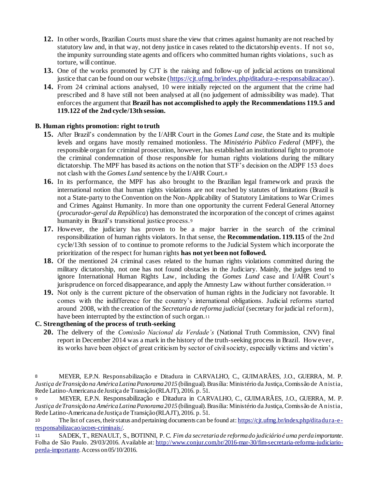- **12.** In other words, Brazilian Courts must share the view that crimes against humanity are not reached by statutory law and, in that way, not deny justice in cases related to the dictatorship events. If not so, the impunity surrounding state agents and officers who committed human rights violations, suc h as torture, will continue.
- **13.** One of the works promoted by CJT is the raising and follow-up of judicial actions on transitional justice that can be found on our website (https://cjt.ufmg.br/index.php/ditadura-e-responsabilizacao/).
- **14.** From 24 criminal actions analysed, 10 were initially rejected on the argument that the crime had prescribed and 8 have still not been analysed at all (no judgement of admissibility was made). That enforces the argument that **Brazil has not accomplished to apply the Recommendations 119.5 and 119.122 of the 2nd cycle/13th session.**

### **B. Human rights promotion: right to truth**

- **15.** After Brazil's condemnation by the I/AHR Court in the *Gomes Lund case*, the State and its multiple levels and organs have mostly remained motionless. The *Ministério Público Federal* (MPF), the responsible organ for criminal prosecution, however, has established an institutional fight to promote the criminal condemnation of those responsible for human rights violations during the military dictatorship. The MPF has based its actions on the notion that STF's decision on the ADPF 153 does not clash with the *Gomes Lund* sentence by the I/AHR Court.<sup>8</sup>
- **16.** In its performance, the MPF has also brought to the Brazilian legal framework and praxis the international notion that human rights violations are not reached by statutes of limitations (Brazil is not a State-party to the Convention on the Non-Applicability of Statutory Limitations to War Crimes and Crimes Against Humanity. In more than one opportunity the current Federal General Attorney (*procurador-geral da República*) has demonstrated the incorporation of the concept of crimes against humanity in Brazil's transitional justice process.<sup>9</sup>
- **17.** However, the judiciary has proven to be a major barrier in the search of the criminal responsibilization of human rights violators. In that sense, the **Recommendation. 119.115** of the 2nd cycle/13th session of to continue to promote reforms to the Judicial System which incorporate the prioritization of the respect for human rights **has not yet been not followed.**
- **18.** Of the mentioned 24 criminal cases related to the human rights violations committed during the military dictatorship, not one has not found obstacles in the Judiciary. Mainly, the judges tend to ignore International Human Rights Law, including the *Gomes Lund* case and I/AHR Court's jurisprudence on forced disappearance, and apply the Amnesty Law without further consideration. 10
- **19.** Not only is the current picture of the observation of human rights in the Judiciary not favorable. It comes with the indifference for the country's international obligations. Judicial reforms started around 2008, with the creation of the *Secretaria de reforma judicial* (secretary for judicial reform), have been interrupted by the extinction of such organ.<sup>11</sup>

### **C. Strengthening of the process of truth-seeking**

**20.** The delivery of the *Comissão Nacional da Verdade's* (National Truth Commission, CNV) final report in December 2014 was a mark in the history of the truth-seeking process in Brazil. How ever, its works have been object of great criticism by sector of civil society, especially victims and victim's

<sup>9</sup> MEYER, E.P.N. Responsabilização e Ditadura in CARVALHO, C., GUIMARÃES, J.O., GUERRA, M. P. *Justiça de Transição na América Latina Panorama 2015* (bilingual). Brasília: Ministério da Justiça, Comissão de Anistia, Rede Latino-Americana de Justiça de Transição (RLAJT), 2016. p. 51.

10 The list of cases, their status and pertaining documents can be found at: https://cjt.ufmg.br/index.php/ditadura-eresponsabilizacao/acoes-criminais/.

<sup>11</sup> SADEK, T., RENAULT, S., BOTINNI, P. C. *Fim da secretaria de reforma do judiciário é uma perda importante*. Folha de São Paulo. 29/03/2016. Available at: http://www.conjur.com.br/2016-mar-30/fim-secretaria-reforma-judiciarioperda-importante. Access on 05/10/2016.

<sup>8</sup> MEYER, E.P.N. Responsabilização e Ditadura in CARVALHO, C., GUIMARÃES, J.O., GUERRA, M. P. *Justiça de Transição na América Latina Panorama 2015* (bilingual). Brasília: Ministério da Justiça, Comissão de Anistia, Rede Latino-Americana de Justiça de Transição (RLAJT), 2016. p. 51.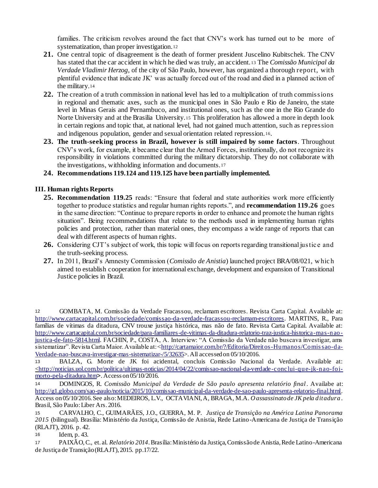families. The criticism revolves around the fact that CNV's work has turned out to be more of systematization, than proper investigation.<sup>12</sup>

- **21.** One central topic of disagreement is the death of former president Juscelino Kubitschek. The CNV has stated that the car accident in which he died was truly, an accident. <sup>13</sup> The *Comissão Municipal da Verdade Vladimir Herzog*, of the city of São Paulo, however, has organized a thorough report, with plentiful evidence that indicate JK' was actually forced out of the road and died in a planned action of the military.<sup>14</sup>
- **22.** The creation of a truth commission in national level has led to a multiplication of truth commissions in regional and thematic axes, such as the municipal ones in São Paulo e Rio de Janeiro, the state level in Minas Gerais and Pernambuco, and institutional ones, such as the one in the Rio Grande do Norte University and at the Brasilia University.<sup>15</sup> This proliferation has allowed a more in depth look in certain regions and topic that, at national level, had not gained much attention, such as repression and indigenous population, gender and sexual orientation related repression. <sup>16</sup>.
- **23. The truth-seeking process in Brazil, however is still impaired by some factors**. Throughout CNV's work, for example, it became clear that the Armed Forces, institutionally, do not recognize its responsibility in violations committed during the military dictatorship. They do not collaborate with the investigations, withholding information and documents.<sup>17</sup>

## **24. Recommendations 119.124 and 119.125 have been partially implemented.**

## **III. Human rights Reports**

- **25. Recommendation 119.25** reads: "Ensure that federal and state authorities work more efficiently together to produce statistics and regular human rights reports.", and **recommendation 119.26** goes in the same direction: "Continue to prepare reports in order to enhance and promote the human rights situation". Being recommendations that relate to the methods used in implementing human rights policies and protection, rather than material ones, they encompass a wide range of reports that can deal with different aspects of human rights.
- 26. Considering CJT's subject of work, this topic will focus on reports regarding transitional justice and the truth-seeking process.
- **27.** In 2011, Brazil's Amnesty Commission (*Comissão de Anistia*) launched project BRA/08/021, w hic h aimed to establish cooperation for international exchange, development and expansion of Transitional Justice policies in Brazil.

<sup>12</sup> GOMBATA, M. Comissão da Verdade Fracassou, reclamam escritores. Revista Carta Capital. Available at: http://www.cartacapital.com.br/sociedade/comissao-da-verdade-fracassou-reclamam-escritores. MARTINS, R., Para famílias de vítimas da ditadura, CNV trouxe justiça histórica, mas não de fato. Revista Carta Capital. Available at: http://www.cartacapital.com.br/sociedade/para-familiares-de-vitimas-da-ditadura-relatorio-traz-justica-historica-mas-naojustica-de-fato-5814.html. FACHIN, P., COSTA, A. Interview: "A Comissão da Verdade não buscava investigar, ams sistematizar". Revista Carta Maior. Available at: < $\underline{http://cartamaior.com.br/?/Editoria/Directos-Humannos/Comis sao-da-}$ Verdade-nao-buscava-investigar-mas-sistematizar-/5/32635>. All accessed on 05/10/2016.

<sup>13</sup> BALZA, G. Morte de JK foi acidental, concluis Comissão Nacional da Verdade. Available at: <http://noticias.uol.com.br/politica/ultimas-noticias/2014/04/22/comissao-nacional-da-verdade-conclui-que-jk-nao-foimorto-pela-ditadura.htm>. Access on 05/10/2016.

<sup>14</sup> DOMINGOS, R. *Comissão Municipal da Verdade de São paulo apresenta relatório final*. Availabe at: http://g1.globo.com/sao-paulo/noticia/2015/10/comissao-municipal-da-verdade-de-sao-paulo-apresenta-relatorio-final.html. Access on 05/10/2016. See also: MEDEIROS, L.V., OCTAVIANI, A, BRAGA, M.A. *O assassinato de JK pela ditadura* . Brasil, São Paulo: Liber Ars. 2016.

<sup>15</sup> CARVALHO, C., GUIMARÃES, J.O., GUERRA, M. P. *Justiça de Transição na América Latina Panorama 2015* (bilingual). Brasília: Ministério da Justiça, Comissão de Anistia, Rede Latino-Americana de Justiça de Transição (RLAJT), 2016. p. 42.

<sup>16</sup> Idem, p. 43.

<sup>17</sup> PAIXÃO, C., et. al. *Relatório 2014*. Brasília: Ministério da Justiça, Comissão de Anistia, Rede Latino-Americana de Justiça de Transição (RLAJT), 2015. pp.17/22.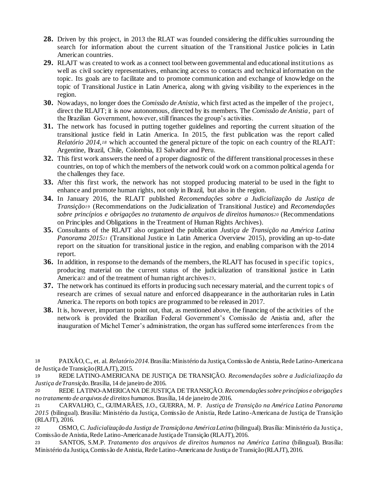- **28.** Driven by this project, in 2013 the RLAT was founded considering the difficulties surrounding the search for information about the current situation of the Transitional Justice policies in Latin American countries.
- **29.** RLAJT was created to work as a connect tool between governmental and educational institutions as well as civil society representatives, enhancing access to contacts and technical information on the topic. Its goals are to facilitate and to promote communication and exchange of knowledge on the topic of Transitional Justice in Latin America, along with giving visibility to the experiences in the region.
- **30.** Nowadays, no longer does the *Comissão de Anistia*, which first acted as the impeller of the projec t, direct the RLAJT; it is now autonomous, directed by its members. The *Comissão de Anistia*, part of the Brazilian Government, however, still finances the group's activities.
- **31.** The network has focused in putting together guidelines and reporting the current situation of the transitional justice field in Latin America. In 2015, the first publication was the report called *Relatório 2014,<sup>18</sup>* which accounted the general picture of the topic on each country of the RLAJT: Argentine, Brazil, Chile, Colombia, El Salvador and Peru.
- **32.** This first work answers the need of a proper diagnostic of the different transitional processes in these countries, on top of which the members of the network could work on a common political agenda for the challenges they face.
- **33.** After this first work, the network has not stopped producing material to be used in the fight to enhance and promote human rights, not only in Brazil, but also in the region.
- **34.** In January 2016, the RLAJT published *Recomendações sobre a Judicialização da Justiça de Transição<sup>19</sup>* (Recommendations on the Judicialization of Transitional Justice) and *Recomendações sobre princípios e obrigações no tratamento de arquivos de direitos humanos<sup>20</sup>* (Recommendations on Principles and Obligations in the Treatment of Human Rights Archives).
- **35.** Consultants of the RLAJT also organized the publication *Justiça de Transição na América Latina Panorama 2015<sup>21</sup>* (Transitional Justice in Latin America Overview 2015), providing an up-to-date report on the situation for transitional justice in the region, and enabling comparison with the 2014 report.
- **36.** In addition, in response to the demands of the members, the RLAJT has focused in spec ific topic s, producing material on the current status of the judicialization of transitional justice in Latin America<sup>22</sup> and of the treatment of human right archives<sup>23</sup>.
- **37.** The network has continued its efforts in producing such necessary material, and the current topic s of research are crimes of sexual nature and enforced disappearance in the authoritarian rules in Latin America. The reports on both topics are programmed to be released in 2017.
- **38.** It is, however, important to point out, that, as mentioned above, the financing of the activities of the network is provided the Brazilian Federal Government's Comissão de Anistia and, after the inauguration of Michel Temer's administration, the organ has suffered some interferences from the

<sup>18</sup> PAIXÃO, C., et. al. *Relatório 2014*. Brasília: Ministério da Justiça, Comissão de Anistia, Rede Latino-Americana de Justiça de Transição (RLAJT), 2015.

<sup>19</sup> REDE LATINO-AMERICANA DE JUSTIÇA DE TRANSIÇÃO. *Recomendações sobre a Judicialização da Justiça de Transição*. Brasília, 14 de janeiro de 2016.

<sup>20</sup> REDE LATINO-AMERICANA DE JUSTIÇA DE TRANSIÇÃO. *Recomendações sobre princípios e obrigações no tratamento de arquivos de direitos humanos.* Brasília, 14 de janeiro de 2016.

<sup>21</sup> CARVALHO, C., GUIMARÃES, J.O., GUERRA, M. P. *Justiça de Transição na América Latina Panorama 2015* (bilingual). Brasília: Ministério da Justiça, Comissão de Anistia, Rede Latino-Americana de Justiça de Transição (RLAJT), 2016.

<sup>22</sup> OSMO, C. *Judicialização da Justiça de Transição na América Latina* (bilingual). Brasília: Ministério da Justiça, Comissão de Anistia, Rede Latino-Americana de Justiça de Transição (RLAJT), 2016.

<sup>23</sup> SANTOS, S.M.P. *Tratamento dos arquivos de direitos humanos na América Latina* (bilingual). Brasília: Ministério da Justiça, Comissão de Anistia, Rede Latino-Americana de Justiça de Transição (RLAJT), 2016.